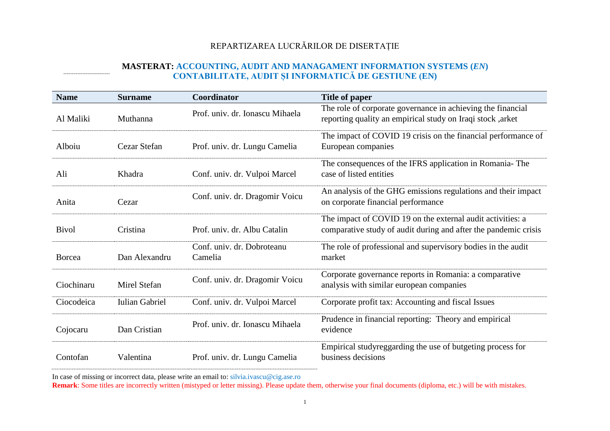## REPARTIZAREA LUCRĂRILOR DE DISERTAȚIE

## **MASTERAT: ACCOUNTING, AUDIT AND MANAGAMENT INFORMATION SYSTEMS (***EN***) CONTABILITATE, AUDIT ȘI INFORMATICĂ DE GESTIUNE (EN)**

| <b>Name</b>  | <b>Surname</b>        | Coordinator                           | Title of paper                                                                                                                |
|--------------|-----------------------|---------------------------------------|-------------------------------------------------------------------------------------------------------------------------------|
| Al Maliki    | Muthanna              | Prof. univ. dr. Ionascu Mihaela       | The role of corporate governance in achieving the financial<br>reporting quality an empirical study on Iraqi stock, arket     |
| Alboiu       | Cezar Stefan          | Prof. univ. dr. Lungu Camelia         | The impact of COVID 19 crisis on the financial performance of<br>European companies                                           |
| Ali          | Khadra                | Conf. univ. dr. Vulpoi Marcel         | The consequences of the IFRS application in Romania-The<br>case of listed entities                                            |
| Anita        | Cezar                 | Conf. univ. dr. Dragomir Voicu        | An analysis of the GHG emissions regulations and their impact<br>on corporate financial performance                           |
| <b>Bivol</b> | Cristina              | Prof. univ. dr. Albu Catalin          | The impact of COVID 19 on the external audit activities: a<br>comparative study of audit during and after the pandemic crisis |
| Borcea       | Dan Alexandru         | Conf. univ. dr. Dobroteanu<br>Camelia | The role of professional and supervisory bodies in the audit<br>market                                                        |
| Ciochinaru   | Mirel Stefan          | Conf. univ. dr. Dragomir Voicu        | Corporate governance reports in Romania: a comparative<br>analysis with similar european companies                            |
| Ciocodeica   | <b>Iulian Gabriel</b> | Conf. univ. dr. Vulpoi Marcel         | Corporate profit tax: Accounting and fiscal Issues                                                                            |
| Cojocaru     | Dan Cristian          | Prof. univ. dr. Ionascu Mihaela       | Prudence in financial reporting: Theory and empirical<br>evidence                                                             |
| Contofan     | Valentina             | Prof. univ. dr. Lungu Camelia         | Empirical studyreggarding the use of butgeting process for<br>business decisions                                              |

In case of missing or incorrect data, please write an email to: silvia.ivascu@cig.ase.ro

**Remark**: Some titles are incorrectly written (mistyped or letter missing). Please update them, otherwise your final documents (diploma, etc.) will be with mistakes.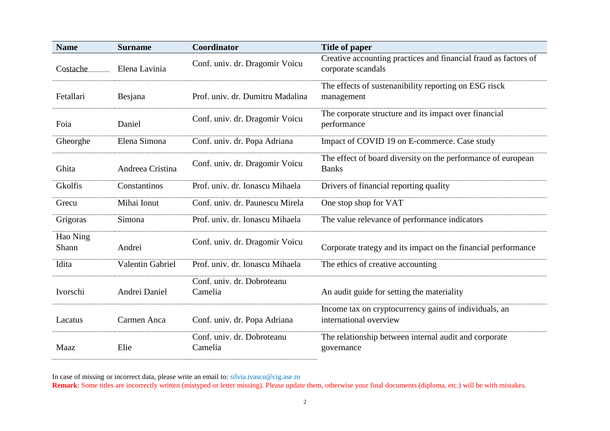| <b>Name</b>       | <b>Surname</b>   | Coordinator                           | <b>Title of paper</b>                                                                 |
|-------------------|------------------|---------------------------------------|---------------------------------------------------------------------------------------|
| Costache          | Elena Lavinia    | Conf. univ. dr. Dragomir Voicu        | Creative accounting practices and financial fraud as factors of<br>corporate scandals |
| Fetallari         | Besjana          | Prof. univ. dr. Dumitru Madalina      | The effects of sustenanibility reporting on ESG risck<br>management                   |
| Foia              | Daniel           | Conf. univ. dr. Dragomir Voicu        | The corporate structure and its impact over financial<br>performance                  |
| Gheorghe          | Elena Simona     | Conf. univ. dr. Popa Adriana          | Impact of COVID 19 on E-commerce. Case study                                          |
| Ghita             | Andreea Cristina | Conf. univ. dr. Dragomir Voicu        | The effect of board diversity on the performance of european<br><b>Banks</b>          |
| Gkolfis           | Constantinos     | Prof. univ. dr. Ionascu Mihaela       | Drivers of financial reporting quality                                                |
| Grecu             | Mihai Ionut      | Conf. univ. dr. Paunescu Mirela       | One stop shop for VAT                                                                 |
| Grigoras          | Simona           | Prof. univ. dr. Ionascu Mihaela       | The value relevance of performance indicators                                         |
| Hao Ning<br>Shann | Andrei           | Conf. univ. dr. Dragomir Voicu        | Corporate trategy and its impact on the financial performance                         |
| Idita             | Valentin Gabriel | Prof. univ. dr. Ionascu Mihaela       | The ethics of creative accounting                                                     |
| Ivorschi          | Andrei Daniel    | Conf. univ. dr. Dobroteanu<br>Camelia | An audit guide for setting the materiality                                            |
| Lacatus           | Carmen Anca      | Conf. univ. dr. Popa Adriana          | Income tax on cryptocurrency gains of individuals, an<br>international overview       |
| Maaz              | Elie             | Conf. univ. dr. Dobroteanu<br>Camelia | The relationship between internal audit and corporate<br>governance                   |

In case of missing or incorrect data, please write an email to: silvia.ivascu@cig.ase.ro

**Remark**: Some titles are incorrectly written (mistyped or letter missing). Please update them, otherwise your final documents (diploma, etc.) will be with mistakes.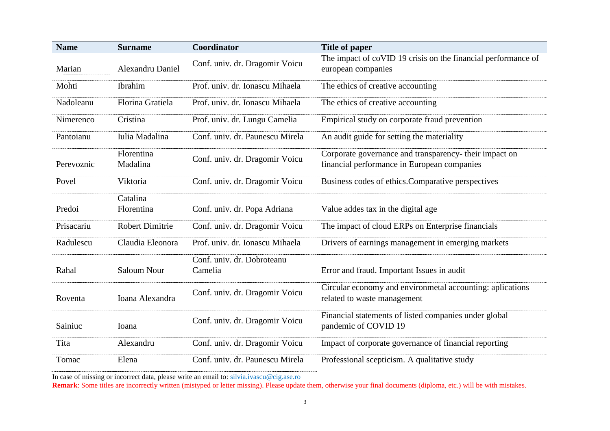| <b>Name</b> | <b>Surname</b>          | Coordinator                           | <b>Title of paper</b>                                                                                 |
|-------------|-------------------------|---------------------------------------|-------------------------------------------------------------------------------------------------------|
| Marian      | <b>Alexandru Daniel</b> | Conf. univ. dr. Dragomir Voicu        | The impact of coVID 19 crisis on the financial performance of<br>european companies                   |
| Mohti       | Ibrahim                 | Prof. univ. dr. Ionascu Mihaela       | The ethics of creative accounting                                                                     |
| Nadoleanu   | Florina Gratiela        | Prof. univ. dr. Ionascu Mihaela       | The ethics of creative accounting                                                                     |
| Nimerenco   | Cristina                | Prof. univ. dr. Lungu Camelia         | Empirical study on corporate fraud prevention                                                         |
| Pantoianu   | Iulia Madalina          | Conf. univ. dr. Paunescu Mirela       | An audit guide for setting the materiality                                                            |
| Perevoznic  | Florentina<br>Madalina  | Conf. univ. dr. Dragomir Voicu        | Corporate governance and transparency- their impact on<br>financial performance in European companies |
| Povel       | Viktoria                | Conf. univ. dr. Dragomir Voicu        | Business codes of ethics. Comparative perspectives                                                    |
|             | Catalina                |                                       |                                                                                                       |
| Predoi      | Florentina              | Conf. univ. dr. Popa Adriana          | Value addes tax in the digital age                                                                    |
| Prisacariu  | <b>Robert Dimitrie</b>  | Conf. univ. dr. Dragomir Voicu        | The impact of cloud ERPs on Enterprise financials                                                     |
| Radulescu   | Claudia Eleonora        | Prof. univ. dr. Ionascu Mihaela       | Drivers of earnings management in emerging markets                                                    |
| Rahal       | <b>Saloum Nour</b>      | Conf. univ. dr. Dobroteanu<br>Camelia | Error and fraud. Important Issues in audit                                                            |
|             |                         |                                       |                                                                                                       |
| Roventa     | Ioana Alexandra         | Conf. univ. dr. Dragomir Voicu        | Circular economy and environmetal accounting: aplications<br>related to waste management              |
| Sainiuc     | Ioana                   | Conf. univ. dr. Dragomir Voicu        | Financial statements of listed companies under global<br>pandemic of COVID 19                         |
| Tita        | Alexandru               | Conf. univ. dr. Dragomir Voicu        | Impact of corporate governance of financial reporting                                                 |
| Tomac       | Elena                   | Conf. univ. dr. Paunescu Mirela       | Professional scepticism. A qualitative study                                                          |

In case of missing or incorrect data, please write an email to: silvia.ivascu@cig.ase.ro

**Remark**: Some titles are incorrectly written (mistyped or letter missing). Please update them, otherwise your final documents (diploma, etc.) will be with mistakes.